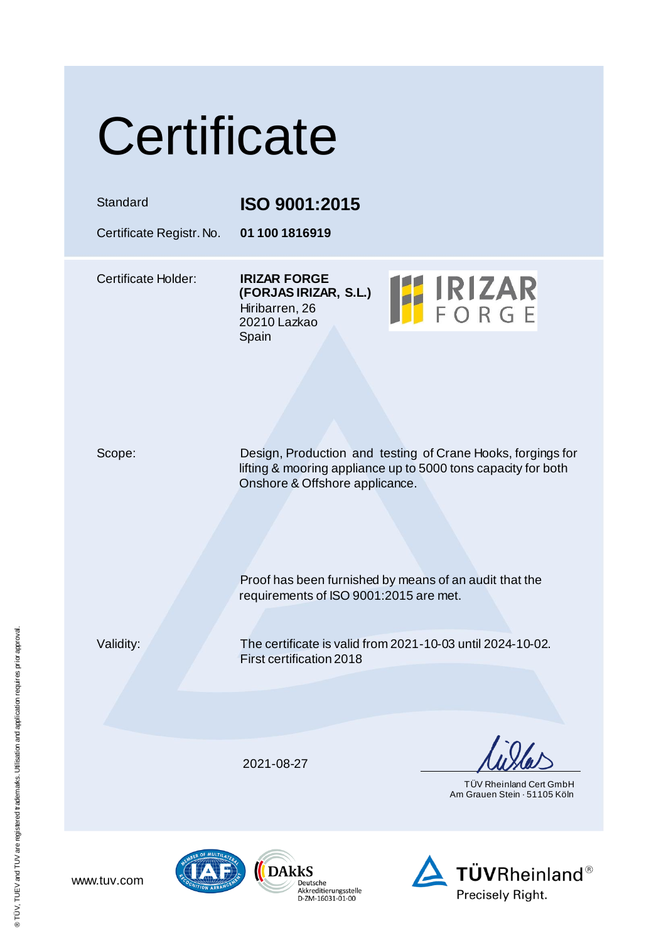|  | Certificate |  |
|--|-------------|--|
|  |             |  |

Standard **ISO 9001:2015**

Certificate Registr. No. **01 100 1816919**

Certificate Holder: **IRIZAR FORGE (FORJAS IRIZAR, S.L.)** Hiribarren, 26 20210 Lazkao Spain



Scope: Design, Production and testing of Crane Hooks, forgings for lifting & mooring appliance up to 5000 tons capacity for both Onshore & Offshore applicance.

> Proof has been furnished by means of an audit that the requirements of ISO 9001:2015 are met.

Validity: The certificate is valid from 2021-10-03 until 2024-10-02. First certification 2018

2021-08-27

 TÜV Rheinland Cert GmbH Am Grauen Stein · 51105 Köln





www.tuv.com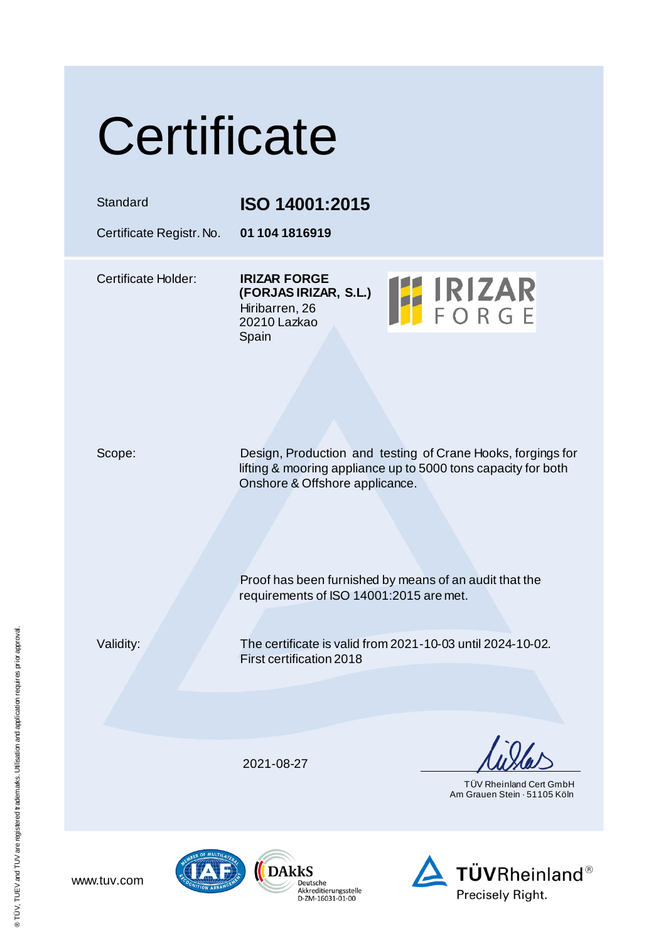|  | Certificate |  |
|--|-------------|--|
|  |             |  |

Standard **ISO 14001:2015**

Certificate Registr. No. **01 104 1816919**

Certificate Holder: **IRIZAR FORGE (FORJAS IRIZAR, S.L.)** Hiribarren, 26 20210 Lazkao Spain



Scope: Design, Production and testing of Crane Hooks, forgings for lifting & mooring appliance up to 5000 tons capacity for both Onshore & Offshore applicance.

> Proof has been furnished by means of an audit that the requirements of ISO 14001:2015 are met.

www.tuv.com

Validity: The certificate is valid from 2021-10-03 until 2024-10-02. First certification 2018

2021-08-27

 TÜV Rheinland Cert GmbH Am Grauen Stein · 51105 Köln